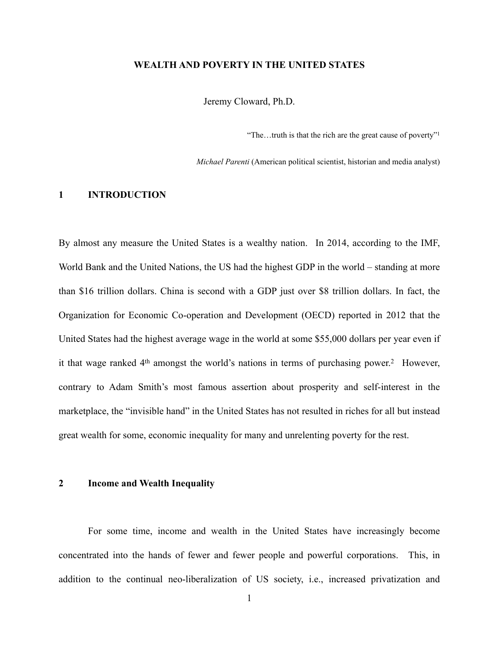#### **WEALTH AND POVERTY IN THE UNITED STATES**

Jeremy Cloward, Ph.D.

"The…truth is that the rich are the great cause of poverty"1

*Michael Parenti* (American political scientist, historian and media analyst)

# **1 INTRODUCTION**

By almost any measure the United States is a wealthy nation. In 2014, according to the IMF, World Bank and the United Nations, the US had the highest GDP in the world – standing at more than \$16 trillion dollars. China is second with a GDP just over \$8 trillion dollars. In fact, the Organization for Economic Co-operation and Development (OECD) reported in 2012 that the United States had the highest average wage in the world at some \$55,000 dollars per year even if it that wage ranked  $4<sup>th</sup>$  amongst the world's nations in terms of purchasing power.<sup>2</sup> However, contrary to Adam Smith's most famous assertion about prosperity and self-interest in the marketplace, the "invisible hand" in the United States has not resulted in riches for all but instead great wealth for some, economic inequality for many and unrelenting poverty for the rest.

## **2 Income and Wealth Inequality**

For some time, income and wealth in the United States have increasingly become concentrated into the hands of fewer and fewer people and powerful corporations. This, in addition to the continual neo-liberalization of US society, i.e., increased privatization and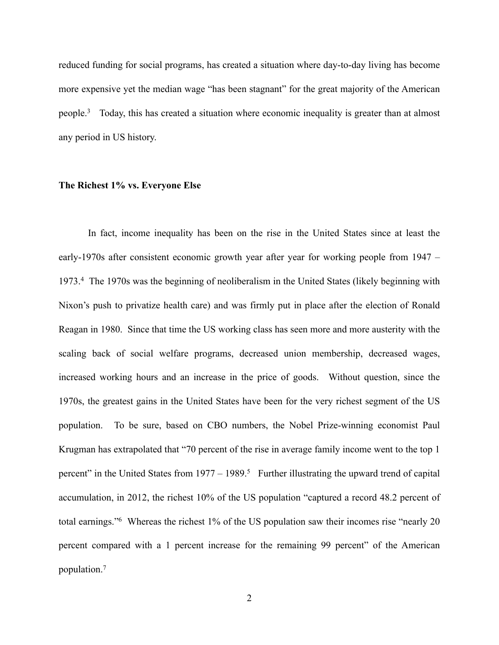reduced funding for social programs, has created a situation where day-to-day living has become more expensive yet the median wage "has been stagnant" for the great majority of the American people.<sup>3</sup> Today, this has created a situation where economic inequality is greater than at almost any period in US history.

## **The Richest 1% vs. Everyone Else**

In fact, income inequality has been on the rise in the United States since at least the early-1970s after consistent economic growth year after year for working people from 1947 – 1973. The 1970s was the beginning of neoliberalism in the United States (likely beginning with 4 Nixon's push to privatize health care) and was firmly put in place after the election of Ronald Reagan in 1980. Since that time the US working class has seen more and more austerity with the scaling back of social welfare programs, decreased union membership, decreased wages, increased working hours and an increase in the price of goods. Without question, since the 1970s, the greatest gains in the United States have been for the very richest segment of the US population. To be sure, based on CBO numbers, the Nobel Prize-winning economist Paul Krugman has extrapolated that "70 percent of the rise in average family income went to the top 1 percent" in the United States from  $1977 - 1989$ .<sup>5</sup> Further illustrating the upward trend of capital accumulation, in 2012, the richest 10% of the US population "captured a record 48.2 percent of total earnings." Whereas the richest  $1\%$  of the US population saw their incomes rise "nearly 20 percent compared with a 1 percent increase for the remaining 99 percent" of the American population. 7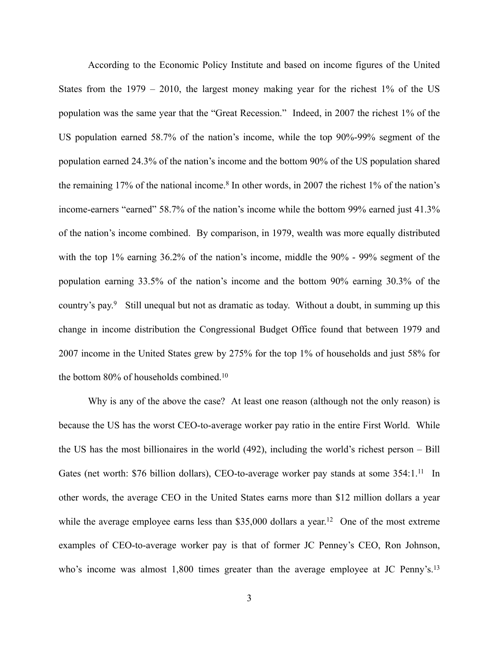According to the Economic Policy Institute and based on income figures of the United States from the 1979 – 2010, the largest money making year for the richest 1% of the US population was the same year that the "Great Recession." Indeed, in 2007 the richest 1% of the US population earned 58.7% of the nation's income, while the top 90%-99% segment of the population earned 24.3% of the nation's income and the bottom 90% of the US population shared the remaining  $17\%$  of the national income.<sup>8</sup> In other words, in 2007 the richest 1% of the nation's income-earners "earned" 58.7% of the nation's income while the bottom 99% earned just 41.3% of the nation's income combined. By comparison, in 1979, wealth was more equally distributed with the top 1% earning 36.2% of the nation's income, middle the 90% - 99% segment of the population earning 33.5% of the nation's income and the bottom 90% earning 30.3% of the country's pay.<sup>9</sup> Still unequal but not as dramatic as today. Without a doubt, in summing up this change in income distribution the Congressional Budget Office found that between 1979 and 2007 income in the United States grew by 275% for the top 1% of households and just 58% for the bottom 80% of households combined.<sup>10</sup>

Why is any of the above the case? At least one reason (although not the only reason) is because the US has the worst CEO-to-average worker pay ratio in the entire First World. While the US has the most billionaires in the world (492), including the world's richest person – Bill Gates (net worth: \$76 billion dollars), CEO-to-average worker pay stands at some 354:1.<sup>11</sup> In other words, the average CEO in the United States earns more than \$12 million dollars a year while the average employee earns less than \$35,000 dollars a year.<sup>12</sup> One of the most extreme examples of CEO-to-average worker pay is that of former JC Penney's CEO, Ron Johnson, who's income was almost 1,800 times greater than the average employee at JC Penny's.<sup>13</sup>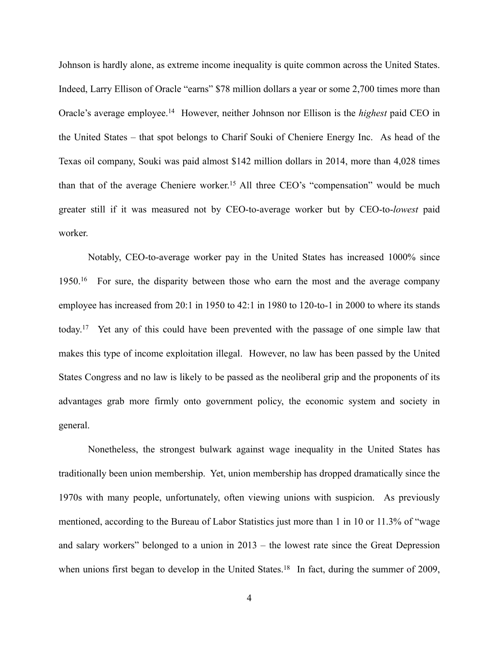Johnson is hardly alone, as extreme income inequality is quite common across the United States. Indeed, Larry Ellison of Oracle "earns" \$78 million dollars a year or some 2,700 times more than Oracle's average employee.<sup>14</sup> However, neither Johnson nor Ellison is the *highest* paid CEO in the United States – that spot belongs to Charif Souki of Cheniere Energy Inc. As head of the Texas oil company, Souki was paid almost \$142 million dollars in 2014, more than 4,028 times than that of the average Cheniere worker.<sup>15</sup> All three CEO's "compensation" would be much greater still if it was measured not by CEO-to-average worker but by CEO-to-*lowest* paid worker.

Notably, CEO-to-average worker pay in the United States has increased 1000% since 1950.<sup>16</sup> For sure, the disparity between those who earn the most and the average company employee has increased from 20:1 in 1950 to 42:1 in 1980 to 120-to-1 in 2000 to where its stands today.<sup>17</sup> Yet any of this could have been prevented with the passage of one simple law that makes this type of income exploitation illegal. However, no law has been passed by the United States Congress and no law is likely to be passed as the neoliberal grip and the proponents of its advantages grab more firmly onto government policy, the economic system and society in general.

Nonetheless, the strongest bulwark against wage inequality in the United States has traditionally been union membership. Yet, union membership has dropped dramatically since the 1970s with many people, unfortunately, often viewing unions with suspicion. As previously mentioned, according to the Bureau of Labor Statistics just more than 1 in 10 or 11.3% of "wage and salary workers" belonged to a union in 2013 – the lowest rate since the Great Depression when unions first began to develop in the United States.<sup>18</sup> In fact, during the summer of 2009,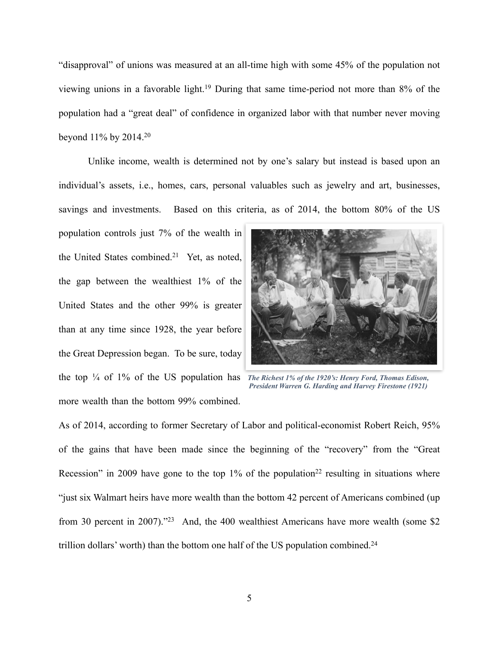"disapproval" of unions was measured at an all-time high with some 45% of the population not viewing unions in a favorable light.<sup>19</sup> During that same time-period not more than  $8\%$  of the population had a "great deal" of confidence in organized labor with that number never moving beyond 11% by 2014. 20

Unlike income, wealth is determined not by one's salary but instead is based upon an individual's assets, i.e., homes, cars, personal valuables such as jewelry and art, businesses, savings and investments. Based on this criteria, as of 2014, the bottom 80% of the US

population controls just 7% of the wealth in the United States combined.<sup>21</sup> Yet, as noted, the gap between the wealthiest 1% of the United States and the other 99% is greater than at any time since 1928, the year before the Great Depression began. To be sure, today the top ¼ of 1% of the US population has *The Richest 1% of the 1920's: Henry Ford, Thomas Edison,*  more wealth than the bottom 99% combined.



*President Warren G. Harding and Harvey Firestone (1921)*

As of 2014, according to former Secretary of Labor and political-economist Robert Reich, 95% of the gains that have been made since the beginning of the "recovery" from the "Great Recession" in 2009 have gone to the top 1% of the population<sup>22</sup> resulting in situations where "just six Walmart heirs have more wealth than the bottom 42 percent of Americans combined (up from 30 percent in 2007).<sup> $23$ </sup> And, the 400 wealthiest Americans have more wealth (some \$2) trillion dollars' worth) than the bottom one half of the US population combined.24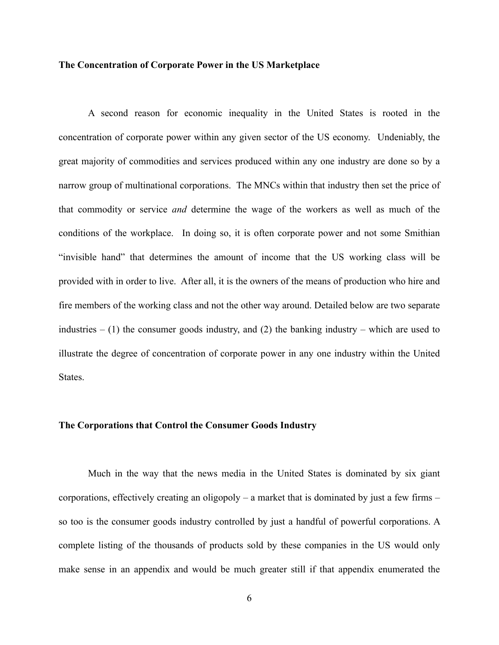#### **The Concentration of Corporate Power in the US Marketplace**

 A second reason for economic inequality in the United States is rooted in the concentration of corporate power within any given sector of the US economy. Undeniably, the great majority of commodities and services produced within any one industry are done so by a narrow group of multinational corporations. The MNCs within that industry then set the price of that commodity or service *and* determine the wage of the workers as well as much of the conditions of the workplace. In doing so, it is often corporate power and not some Smithian "invisible hand" that determines the amount of income that the US working class will be provided with in order to live. After all, it is the owners of the means of production who hire and fire members of the working class and not the other way around. Detailed below are two separate industries  $- (1)$  the consumer goods industry, and (2) the banking industry – which are used to illustrate the degree of concentration of corporate power in any one industry within the United States.

## **The Corporations that Control the Consumer Goods Industry**

 Much in the way that the news media in the United States is dominated by six giant corporations, effectively creating an oligopoly – a market that is dominated by just a few firms – so too is the consumer goods industry controlled by just a handful of powerful corporations. A complete listing of the thousands of products sold by these companies in the US would only make sense in an appendix and would be much greater still if that appendix enumerated the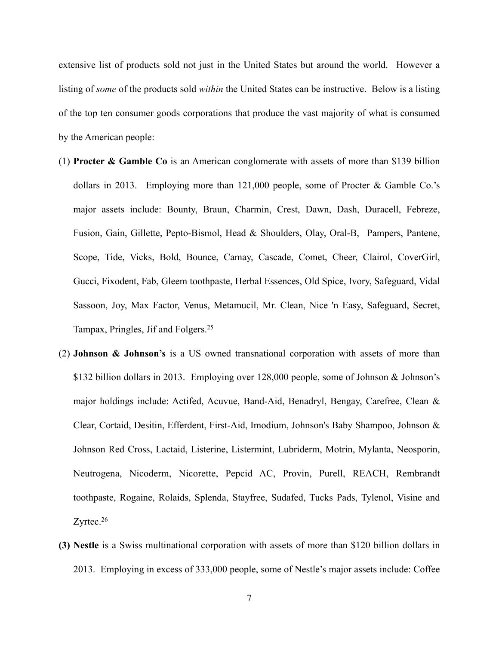extensive list of products sold not just in the United States but around the world. However a listing of *some* of the products sold *within* the United States can be instructive. Below is a listing of the top ten consumer goods corporations that produce the vast majority of what is consumed by the American people:

- (1) **Procter & Gamble Co** is an American conglomerate with assets of more than \$139 billion dollars in 2013. Employing more than 121,000 people, some of Procter & Gamble Co.'s major assets include: Bounty, Braun, Charmin, Crest, Dawn, Dash, Duracell, Febreze, Fusion, Gain, Gillette, Pepto-Bismol, Head & Shoulders, Olay, Oral-B, Pampers, Pantene, Scope, Tide, Vicks, Bold, Bounce, Camay, Cascade, Comet, Cheer, Clairol, CoverGirl, Gucci, Fixodent, Fab, Gleem toothpaste, Herbal Essences, Old Spice, Ivory, Safeguard, Vidal Sassoon, Joy, Max Factor, Venus, Metamucil, Mr. Clean, Nice 'n Easy, Safeguard, Secret, Tampax, Pringles, Jif and Folgers. 25
- (2) **Johnson & Johnson's** is a US owned transnational corporation with assets of more than \$132 billion dollars in 2013. Employing over 128,000 people, some of Johnson & Johnson's major holdings include: Actifed, Acuvue, Band-Aid, Benadryl, Bengay, Carefree, Clean & Clear, Cortaid, Desitin, Efferdent, First-Aid, Imodium, Johnson's Baby Shampoo, Johnson & Johnson Red Cross, Lactaid, Listerine, Listermint, Lubriderm, Motrin, Mylanta, Neosporin, Neutrogena, Nicoderm, Nicorette, Pepcid AC, Provin, Purell, REACH, Rembrandt toothpaste, Rogaine, Rolaids, Splenda, Stayfree, Sudafed, Tucks Pads, Tylenol, Visine and Zyrtec.<sup>26</sup>
- **(3) Nestle** is a Swiss multinational corporation with assets of more than \$120 billion dollars in 2013. Employing in excess of 333,000 people, some of Nestle's major assets include: Coffee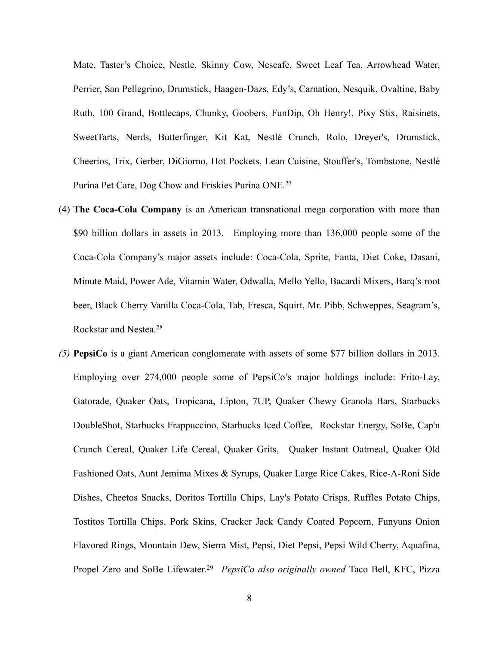Mate, Taster's Choice, Nestle, Skinny Cow, Nescafe, Sweet Leaf Tea, Arrowhead Water, Perrier, San Pellegrino, Drumstick, Haagen-Dazs, Edy's, Carnation, Nesquik, Ovaltine, Baby Ruth, 100 Grand, Bottlecaps, Chunky, Goobers, FunDip, Oh Henry!, Pixy Stix, Raisinets, SweetTarts, Nerds, Butterfinger, Kit Kat, Nestlé Crunch, Rolo, Dreyer's, Drumstick, Cheerios, Trix, Gerber, DiGiorno, Hot Pockets, Lean Cuisine, Stouffer's, Tombstone, Nestlé Purina Pet Care, Dog Chow and Friskies Purina ONE.27

- (4) **The Coca-Cola Company** is an American transnational mega corporation with more than \$90 billion dollars in assets in 2013. Employing more than 136,000 people some of the Coca-Cola Company's major assets include: Coca-Cola, Sprite, Fanta, Diet Coke, Dasani, Minute Maid, Power Ade, Vitamin Water, Odwalla, Mello Yello, Bacardi Mixers, Barq's root beer, Black Cherry Vanilla Coca-Cola, Tab, Fresca, Squirt, Mr. Pibb, Schweppes, Seagram's, Rockstar and Nestea.28
- *(5)* **PepsiCo** is a giant American conglomerate with assets of some \$77 billion dollars in 2013. Employing over 274,000 people some of PepsiCo's major holdings include: Frito-Lay, Gatorade, Quaker Oats, Tropicana, Lipton, 7UP, Quaker Chewy Granola Bars, Starbucks DoubleShot, Starbucks Frappuccino, Starbucks Iced Coffee, Rockstar Energy, SoBe, Cap'n Crunch Cereal, Quaker Life Cereal, Quaker Grits, Quaker Instant Oatmeal, Quaker Old Fashioned Oats, Aunt Jemima Mixes & Syrups, Quaker Large Rice Cakes, Rice-A-Roni Side Dishes, Cheetos Snacks, Doritos Tortilla Chips, Lay's Potato Crisps, Ruffles Potato Chips, Tostitos Tortilla Chips, Pork Skins, Cracker Jack Candy Coated Popcorn, Funyuns Onion Flavored Rings, Mountain Dew, Sierra Mist, Pepsi, Diet Pepsi, Pepsi Wild Cherry, Aquafina, Propel Zero and SoBe Lifewater.<sup>29</sup> PepsiCo also originally owned Taco Bell, KFC, Pizza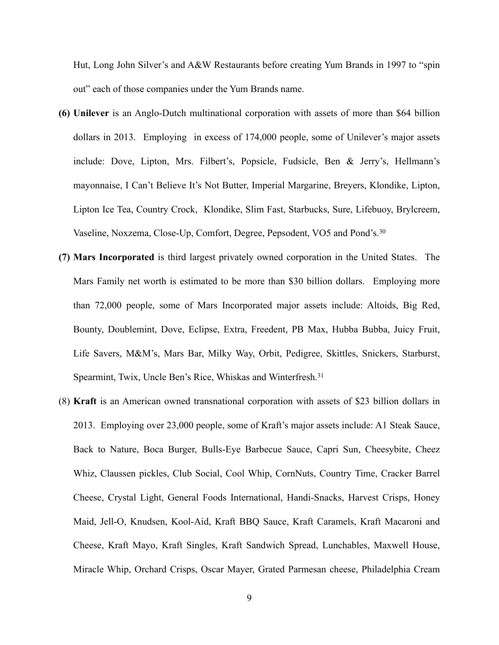Hut, Long John Silver's and A&W Restaurants before creating Yum Brands in 1997 to "spin out" each of those companies under the Yum Brands name.

- **(6) Unilever** is an Anglo-Dutch multinational corporation with assets of more than \$64 billion dollars in 2013. Employing in excess of 174,000 people, some of Unilever's major assets include: Dove, Lipton, Mrs. Filbert's, Popsicle, Fudsicle, Ben & Jerry's, Hellmann's mayonnaise, I Can't Believe It's Not Butter, Imperial Margarine, Breyers, Klondike, Lipton, Lipton Ice Tea, Country Crock, Klondike, Slim Fast, Starbucks, Sure, Lifebuoy, Brylcreem, Vaseline, Noxzema, Close-Up, Comfort, Degree, Pepsodent, VO5 and Pond's.30
- **(7) Mars Incorporated** is third largest privately owned corporation in the United States. The Mars Family net worth is estimated to be more than \$30 billion dollars. Employing more than 72,000 people, some of Mars Incorporated major assets include: Altoids, Big Red, Bounty, Doublemint, Dove, Eclipse, Extra, Freedent, PB Max, Hubba Bubba, Juicy Fruit, Life Savers, M&M's, Mars Bar, Milky Way, Orbit, Pedigree, Skittles, Snickers, Starburst, Spearmint, Twix, Uncle Ben's Rice, Whiskas and Winterfresh.<sup>31</sup>
- (8) **Kraft** is an American owned transnational corporation with assets of \$23 billion dollars in 2013. Employing over 23,000 people, some of Kraft's major assets include: A1 Steak Sauce, Back to Nature, Boca Burger, Bulls-Eye Barbecue Sauce, Capri Sun, Cheesybite, Cheez Whiz, Claussen pickles, Club Social, Cool Whip, CornNuts, Country Time, Cracker Barrel Cheese, Crystal Light, General Foods International, Handi-Snacks, Harvest Crisps, Honey Maid, Jell-O, Knudsen, Kool-Aid, Kraft BBQ Sauce, Kraft Caramels, Kraft Macaroni and Cheese, Kraft Mayo, Kraft Singles, Kraft Sandwich Spread, Lunchables, Maxwell House, Miracle Whip, Orchard Crisps, Oscar Mayer, Grated Parmesan cheese, Philadelphia Cream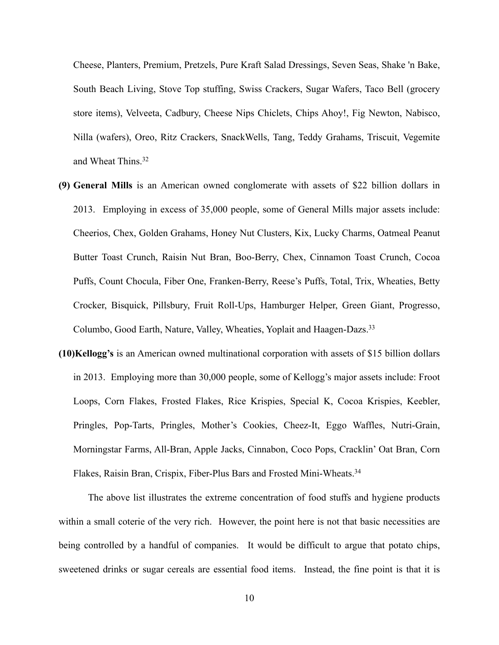Cheese, Planters, Premium, Pretzels, Pure Kraft Salad Dressings, Seven Seas, Shake 'n Bake, South Beach Living, Stove Top stuffing, Swiss Crackers, Sugar Wafers, Taco Bell (grocery store items), Velveeta, Cadbury, Cheese Nips Chiclets, Chips Ahoy!, Fig Newton, Nabisco, Nilla (wafers), Oreo, Ritz Crackers, SnackWells, Tang, Teddy Grahams, Triscuit, Vegemite and Wheat Thins.32

- **(9) General Mills** is an American owned conglomerate with assets of \$22 billion dollars in 2013. Employing in excess of 35,000 people, some of General Mills major assets include: Cheerios, Chex, Golden Grahams, Honey Nut Clusters, Kix, Lucky Charms, Oatmeal Peanut Butter Toast Crunch, Raisin Nut Bran, Boo-Berry, Chex, Cinnamon Toast Crunch, Cocoa Puffs, Count Chocula, Fiber One, Franken-Berry, Reese's Puffs, Total, Trix, Wheaties, Betty Crocker, Bisquick, Pillsbury, Fruit Roll-Ups, Hamburger Helper, Green Giant, Progresso, Columbo, Good Earth, Nature, Valley, Wheaties, Yoplait and Haagen-Dazs.<sup>33</sup>
- **(10)Kellogg's** is an American owned multinational corporation with assets of \$15 billion dollars in 2013. Employing more than 30,000 people, some of Kellogg's major assets include: Froot Loops, Corn Flakes, Frosted Flakes, Rice Krispies, Special K, Cocoa Krispies, Keebler, Pringles, Pop-Tarts, Pringles, Mother's Cookies, Cheez-It, Eggo Waffles, Nutri-Grain, Morningstar Farms, All-Bran, Apple Jacks, Cinnabon, Coco Pops, Cracklin' Oat Bran, Corn Flakes, Raisin Bran, Crispix, Fiber-Plus Bars and Frosted Mini-Wheats.<sup>34</sup>

The above list illustrates the extreme concentration of food stuffs and hygiene products within a small coterie of the very rich. However, the point here is not that basic necessities are being controlled by a handful of companies. It would be difficult to argue that potato chips, sweetened drinks or sugar cereals are essential food items. Instead, the fine point is that it is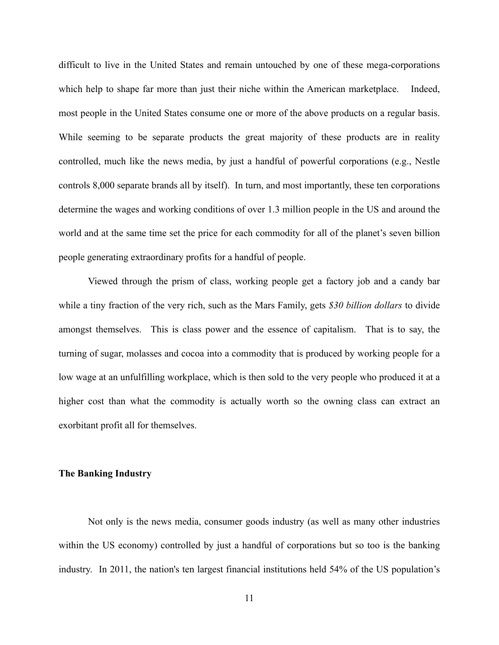difficult to live in the United States and remain untouched by one of these mega-corporations which help to shape far more than just their niche within the American marketplace. Indeed, most people in the United States consume one or more of the above products on a regular basis. While seeming to be separate products the great majority of these products are in reality controlled, much like the news media, by just a handful of powerful corporations (e.g., Nestle controls 8,000 separate brands all by itself). In turn, and most importantly, these ten corporations determine the wages and working conditions of over 1.3 million people in the US and around the world and at the same time set the price for each commodity for all of the planet's seven billion people generating extraordinary profits for a handful of people.

Viewed through the prism of class, working people get a factory job and a candy bar while a tiny fraction of the very rich, such as the Mars Family, gets *\$30 billion dollars* to divide amongst themselves. This is class power and the essence of capitalism. That is to say, the turning of sugar, molasses and cocoa into a commodity that is produced by working people for a low wage at an unfulfilling workplace, which is then sold to the very people who produced it at a higher cost than what the commodity is actually worth so the owning class can extract an exorbitant profit all for themselves.

## **The Banking Industry**

 Not only is the news media, consumer goods industry (as well as many other industries within the US economy) controlled by just a handful of corporations but so too is the banking industry. In 2011, the nation's ten largest financial institutions held 54% of the US population's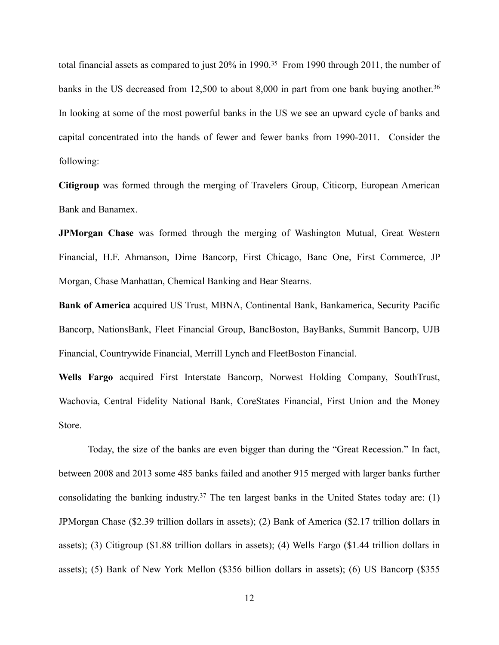total financial assets as compared to just  $20\%$  in 1990.<sup>35</sup> From 1990 through 2011, the number of banks in the US decreased from 12,500 to about 8,000 in part from one bank buying another.<sup>36</sup> In looking at some of the most powerful banks in the US we see an upward cycle of banks and capital concentrated into the hands of fewer and fewer banks from 1990-2011. Consider the following:

**Citigroup** was formed through the merging of Travelers Group, Citicorp, European American Bank and Banamex.

**JPMorgan Chase** was formed through the merging of Washington Mutual, Great Western Financial, H.F. Ahmanson, Dime Bancorp, First Chicago, Banc One, First Commerce, JP Morgan, Chase Manhattan, Chemical Banking and Bear Stearns.

**Bank of America** acquired US Trust, MBNA, Continental Bank, Bankamerica, Security Pacific Bancorp, NationsBank, Fleet Financial Group, BancBoston, BayBanks, Summit Bancorp, UJB Financial, Countrywide Financial, Merrill Lynch and FleetBoston Financial.

**Wells Fargo** acquired First Interstate Bancorp, Norwest Holding Company, SouthTrust, Wachovia, Central Fidelity National Bank, CoreStates Financial, First Union and the Money Store.

Today, the size of the banks are even bigger than during the "Great Recession." In fact, between 2008 and 2013 some 485 banks failed and another 915 merged with larger banks further consolidating the banking industry.<sup>37</sup> The ten largest banks in the United States today are: (1) JPMorgan Chase (\$2.39 trillion dollars in assets); (2) Bank of America (\$2.17 trillion dollars in assets); (3) Citigroup (\$1.88 trillion dollars in assets); (4) Wells Fargo (\$1.44 trillion dollars in assets); (5) Bank of New York Mellon (\$356 billion dollars in assets); (6) US Bancorp (\$355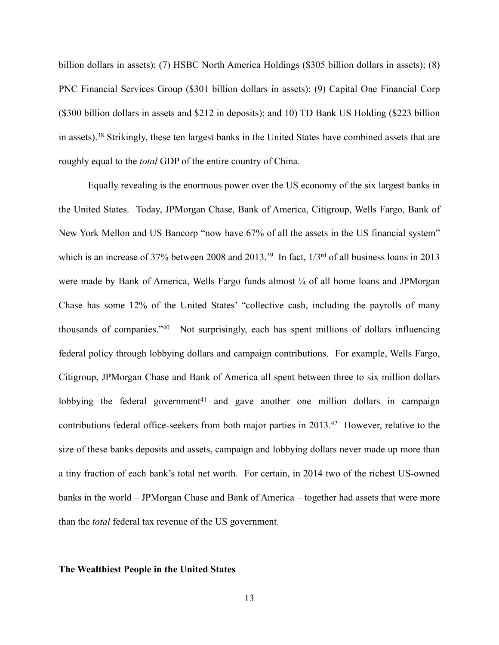billion dollars in assets); (7) HSBC North America Holdings (\$305 billion dollars in assets); (8) PNC Financial Services Group (\$301 billion dollars in assets); (9) Capital One Financial Corp (\$300 billion dollars in assets and \$212 in deposits); and 10) TD Bank US Holding (\$223 billion in assets).<sup>38</sup> Strikingly, these ten largest banks in the United States have combined assets that are roughly equal to the *total* GDP of the entire country of China.

Equally revealing is the enormous power over the US economy of the six largest banks in the United States. Today, JPMorgan Chase, Bank of America, Citigroup, Wells Fargo, Bank of New York Mellon and US Bancorp "now have 67% of all the assets in the US financial system" which is an increase of 37% between 2008 and 2013.<sup>39</sup> In fact,  $1/3<sup>rd</sup>$  of all business loans in 2013 were made by Bank of America, Wells Fargo funds almost  $\frac{1}{4}$  of all home loans and JPMorgan Chase has some 12% of the United States' "collective cash, including the payrolls of many thousands of companies." $40$  Not surprisingly, each has spent millions of dollars influencing federal policy through lobbying dollars and campaign contributions. For example, Wells Fargo, Citigroup, JPMorgan Chase and Bank of America all spent between three to six million dollars lobbying the federal government<sup>41</sup> and gave another one million dollars in campaign contributions federal office-seekers from both major parties in  $2013<sup>42</sup>$  However, relative to the size of these banks deposits and assets, campaign and lobbying dollars never made up more than a tiny fraction of each bank's total net worth. For certain, in 2014 two of the richest US-owned banks in the world – JPMorgan Chase and Bank of America – together had assets that were more than the *total* federal tax revenue of the US government.

## **The Wealthiest People in the United States**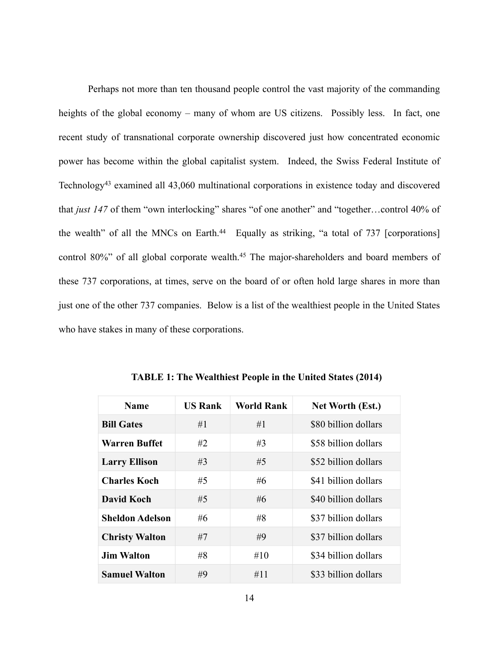Perhaps not more than ten thousand people control the vast majority of the commanding heights of the global economy – many of whom are US citizens. Possibly less. In fact, one recent study of transnational corporate ownership discovered just how concentrated economic power has become within the global capitalist system. Indeed, the Swiss Federal Institute of Technology<sup>43</sup> examined all  $43,060$  multinational corporations in existence today and discovered that *just 147* of them "own interlocking" shares "of one another" and "together…control 40% of the wealth" of all the MNCs on Earth. $44$  Equally as striking, "a total of 737 [corporations] control 80%" of all global corporate wealth.<sup>45</sup> The major-shareholders and board members of these 737 corporations, at times, serve on the board of or often hold large shares in more than just one of the other 737 companies. Below is a list of the wealthiest people in the United States who have stakes in many of these corporations.

| <b>Name</b>            | <b>US Rank</b> | <b>World Rank</b> | <b>Net Worth (Est.)</b> |
|------------------------|----------------|-------------------|-------------------------|
| <b>Bill Gates</b>      | #1             | #1                | \$80 billion dollars    |
| Warren Buffet          | #2             | #3                | \$58 billion dollars    |
| <b>Larry Ellison</b>   | #3             | #5                | \$52 billion dollars    |
| <b>Charles Koch</b>    | #5             | #6                | \$41 billion dollars    |
| David Koch             | #5             | #6                | \$40 billion dollars    |
| <b>Sheldon Adelson</b> | #6             | #8                | \$37 billion dollars    |
| <b>Christy Walton</b>  | #7             | #9                | \$37 billion dollars    |
| Jim Walton             | #8             | #10               | \$34 billion dollars    |
| <b>Samuel Walton</b>   | #9             | #11               | \$33 billion dollars    |

**TABLE 1: The Wealthiest People in the United States (2014)**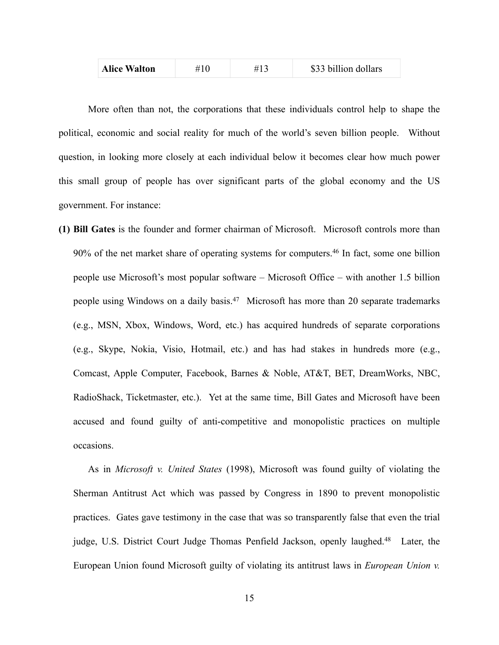| <b>Alice Walton</b> |  |  | \$33 billion dollars |
|---------------------|--|--|----------------------|
|---------------------|--|--|----------------------|

More often than not, the corporations that these individuals control help to shape the political, economic and social reality for much of the world's seven billion people. Without question, in looking more closely at each individual below it becomes clear how much power this small group of people has over significant parts of the global economy and the US government. For instance:

**(1) Bill Gates** is the founder and former chairman of Microsoft. Microsoft controls more than  $90\%$  of the net market share of operating systems for computers.<sup>46</sup> In fact, some one billion people use Microsoft's most popular software – Microsoft Office – with another 1.5 billion people using Windows on a daily basis.<sup>47</sup> Microsoft has more than 20 separate trademarks (e.g., MSN, Xbox, Windows, Word, etc.) has acquired hundreds of separate corporations (e.g., Skype, Nokia, Visio, Hotmail, etc.) and has had stakes in hundreds more (e.g., Comcast, Apple Computer, Facebook, Barnes & Noble, AT&T, BET, DreamWorks, NBC, RadioShack, Ticketmaster, etc.). Yet at the same time, Bill Gates and Microsoft have been accused and found guilty of anti-competitive and monopolistic practices on multiple occasions.

As in *Microsoft v. United States* (1998), Microsoft was found guilty of violating the Sherman Antitrust Act which was passed by Congress in 1890 to prevent monopolistic practices. Gates gave testimony in the case that was so transparently false that even the trial judge, U.S. District Court Judge Thomas Penfield Jackson, openly laughed.<sup>48</sup> Later, the European Union found Microsoft guilty of violating its antitrust laws in *European Union v.*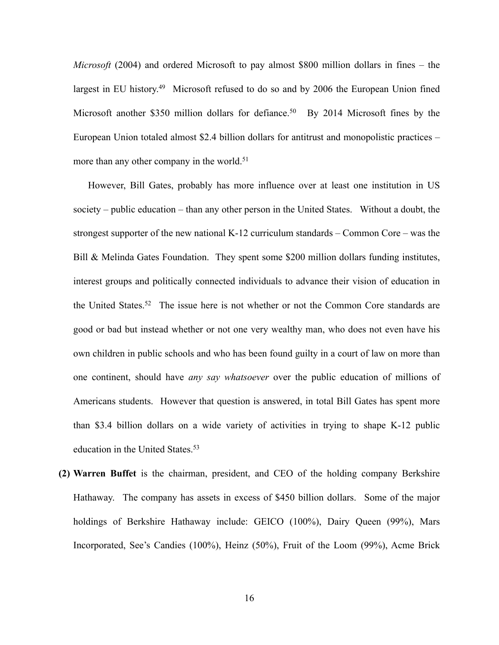*Microsoft* (2004) and ordered Microsoft to pay almost \$800 million dollars in fines – the largest in EU history.<sup>49</sup> Microsoft refused to do so and by 2006 the European Union fined Microsoft another \$350 million dollars for defiance.<sup>50</sup> By 2014 Microsoft fines by the European Union totaled almost \$2.4 billion dollars for antitrust and monopolistic practices – more than any other company in the world.<sup>51</sup>

However, Bill Gates, probably has more influence over at least one institution in US society – public education – than any other person in the United States. Without a doubt, the strongest supporter of the new national K-12 curriculum standards – Common Core – was the Bill & Melinda Gates Foundation. They spent some \$200 million dollars funding institutes, interest groups and politically connected individuals to advance their vision of education in the United States.<sup>52</sup> The issue here is not whether or not the Common Core standards are good or bad but instead whether or not one very wealthy man, who does not even have his own children in public schools and who has been found guilty in a court of law on more than one continent, should have *any say whatsoever* over the public education of millions of Americans students. However that question is answered, in total Bill Gates has spent more than \$3.4 billion dollars on a wide variety of activities in trying to shape K-12 public education in the United States.<sup>53</sup>

**(2) Warren Buffet** is the chairman, president, and CEO of the holding company Berkshire Hathaway. The company has assets in excess of \$450 billion dollars. Some of the major holdings of Berkshire Hathaway include: GEICO (100%), Dairy Queen (99%), Mars Incorporated, See's Candies (100%), Heinz (50%), Fruit of the Loom (99%), Acme Brick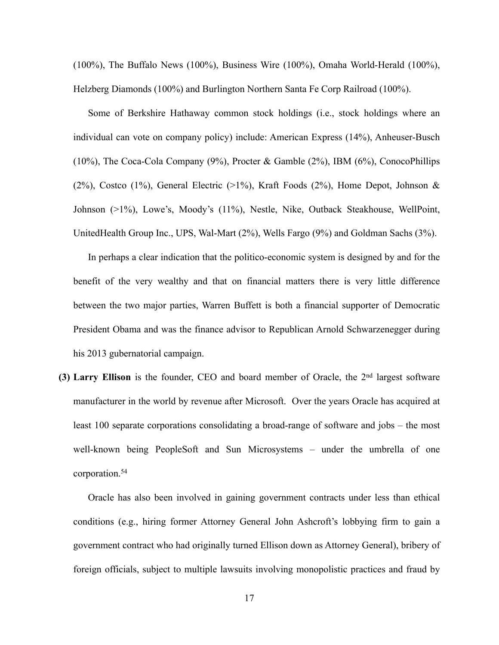(100%), The Buffalo News (100%), Business Wire (100%), Omaha World-Herald (100%), Helzberg Diamonds (100%) and Burlington Northern Santa Fe Corp Railroad (100%).

Some of Berkshire Hathaway common stock holdings (i.e., stock holdings where an individual can vote on company policy) include: American Express (14%), Anheuser-Busch (10%), The Coca-Cola Company (9%), Procter & Gamble (2%), IBM (6%), ConocoPhillips (2%), Costco (1%), General Electric (>1%), Kraft Foods (2%), Home Depot, Johnson  $\&$ Johnson (>1%), Lowe's, Moody's (11%), Nestle, Nike, Outback Steakhouse, WellPoint, UnitedHealth Group Inc., UPS, Wal-Mart (2%), Wells Fargo (9%) and Goldman Sachs (3%).

In perhaps a clear indication that the politico-economic system is designed by and for the benefit of the very wealthy and that on financial matters there is very little difference between the two major parties, Warren Buffett is both a financial supporter of Democratic President Obama and was the finance advisor to Republican Arnold Schwarzenegger during his 2013 gubernatorial campaign.

**(3) Larry Ellison** is the founder, CEO and board member of Oracle, the 2nd largest software manufacturer in the world by revenue after Microsoft. Over the years Oracle has acquired at least 100 separate corporations consolidating a broad-range of software and jobs – the most well-known being PeopleSoft and Sun Microsystems – under the umbrella of one corporation.54

Oracle has also been involved in gaining government contracts under less than ethical conditions (e.g., hiring former Attorney General John Ashcroft's lobbying firm to gain a government contract who had originally turned Ellison down as Attorney General), bribery of foreign officials, subject to multiple lawsuits involving monopolistic practices and fraud by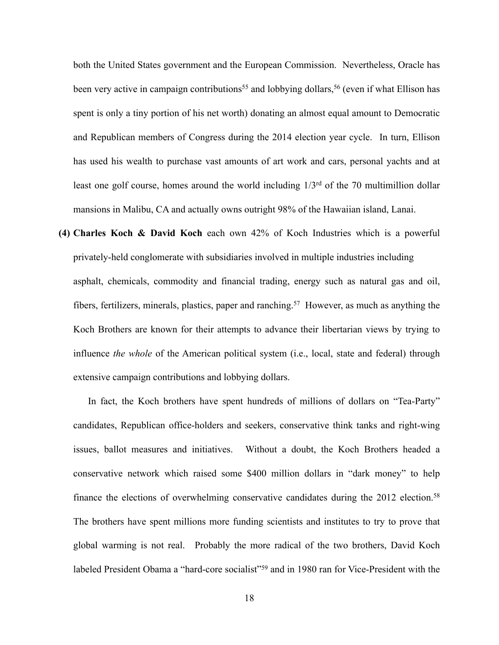both the United States government and the European Commission. Nevertheless, Oracle has been very active in campaign contributions<sup>55</sup> and lobbying dollars,<sup>56</sup> (even if what Ellison has spent is only a tiny portion of his net worth) donating an almost equal amount to Democratic and Republican members of Congress during the 2014 election year cycle. In turn, Ellison has used his wealth to purchase vast amounts of art work and cars, personal yachts and at least one golf course, homes around the world including  $1/3<sup>rd</sup>$  of the 70 multimillion dollar mansions in Malibu, CA and actually owns outright 98% of the Hawaiian island, Lanai.

**(4) Charles Koch & David Koch** each own 42% of Koch Industries which is a powerful privately-held conglomerate with subsidiaries involved in multiple industries including asphalt, chemicals, commodity and financial trading, energy such as natural gas and oil, fibers, fertilizers, minerals, plastics, paper and ranching.<sup>57</sup> However, as much as anything the Koch Brothers are known for their attempts to advance their libertarian views by trying to influence *the whole* of the American political system (i.e., local, state and federal) through extensive campaign contributions and lobbying dollars.

In fact, the Koch brothers have spent hundreds of millions of dollars on "Tea-Party" candidates, Republican office-holders and seekers, conservative think tanks and right-wing issues, ballot measures and initiatives. Without a doubt, the Koch Brothers headed a conservative network which raised some \$400 million dollars in "dark money" to help finance the elections of overwhelming conservative candidates during the 2012 election.<sup>58</sup> The brothers have spent millions more funding scientists and institutes to try to prove that global warming is not real. Probably the more radical of the two brothers, David Koch labeled President Obama a "hard-core socialist"<sup>59</sup> and in 1980 ran for Vice-President with the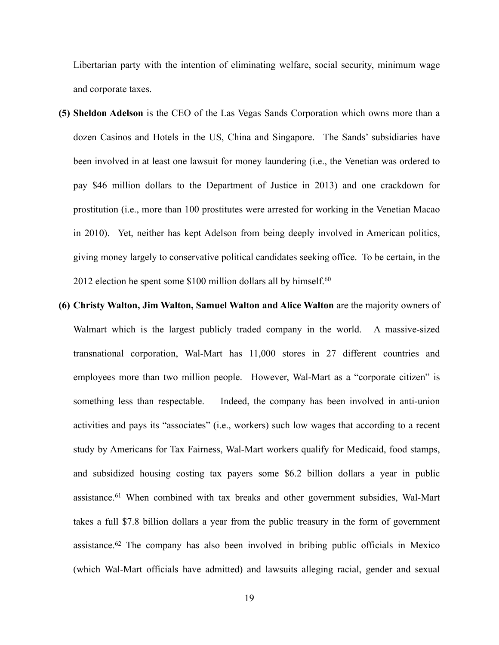Libertarian party with the intention of eliminating welfare, social security, minimum wage and corporate taxes.

- **(5) Sheldon Adelson** is the CEO of the Las Vegas Sands Corporation which owns more than a dozen Casinos and Hotels in the US, China and Singapore. The Sands' subsidiaries have been involved in at least one lawsuit for money laundering (i.e., the Venetian was ordered to pay \$46 million dollars to the Department of Justice in 2013) and one crackdown for prostitution (i.e., more than 100 prostitutes were arrested for working in the Venetian Macao in 2010). Yet, neither has kept Adelson from being deeply involved in American politics, giving money largely to conservative political candidates seeking office. To be certain, in the 2012 election he spent some \$100 million dollars all by himself.<sup>60</sup>
- **(6) Christy Walton, Jim Walton, Samuel Walton and Alice Walton** are the majority owners of Walmart which is the largest publicly traded company in the world. A massive-sized transnational corporation, Wal-Mart has 11,000 stores in 27 different countries and employees more than two million people. However, Wal-Mart as a "corporate citizen" is something less than respectable. Indeed, the company has been involved in anti-union activities and pays its "associates" (i.e., workers) such low wages that according to a recent study by Americans for Tax Fairness, Wal-Mart workers qualify for Medicaid, food stamps, and subsidized housing costing tax payers some \$6.2 billion dollars a year in public assistance.<sup>61</sup> When combined with tax breaks and other government subsidies, Wal-Mart takes a full \$7.8 billion dollars a year from the public treasury in the form of government assistance.  $62$  The company has also been involved in bribing public officials in Mexico (which Wal-Mart officials have admitted) and lawsuits alleging racial, gender and sexual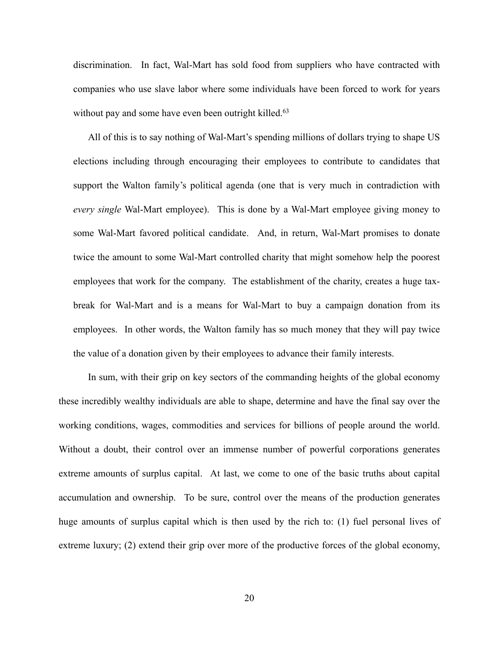discrimination. In fact, Wal-Mart has sold food from suppliers who have contracted with companies who use slave labor where some individuals have been forced to work for years without pay and some have even been outright killed.<sup>63</sup>

All of this is to say nothing of Wal-Mart's spending millions of dollars trying to shape US elections including through encouraging their employees to contribute to candidates that support the Walton family's political agenda (one that is very much in contradiction with *every single* Wal-Mart employee). This is done by a Wal-Mart employee giving money to some Wal-Mart favored political candidate. And, in return, Wal-Mart promises to donate twice the amount to some Wal-Mart controlled charity that might somehow help the poorest employees that work for the company. The establishment of the charity, creates a huge taxbreak for Wal-Mart and is a means for Wal-Mart to buy a campaign donation from its employees. In other words, the Walton family has so much money that they will pay twice the value of a donation given by their employees to advance their family interests.

In sum, with their grip on key sectors of the commanding heights of the global economy these incredibly wealthy individuals are able to shape, determine and have the final say over the working conditions, wages, commodities and services for billions of people around the world. Without a doubt, their control over an immense number of powerful corporations generates extreme amounts of surplus capital. At last, we come to one of the basic truths about capital accumulation and ownership. To be sure, control over the means of the production generates huge amounts of surplus capital which is then used by the rich to: (1) fuel personal lives of extreme luxury; (2) extend their grip over more of the productive forces of the global economy,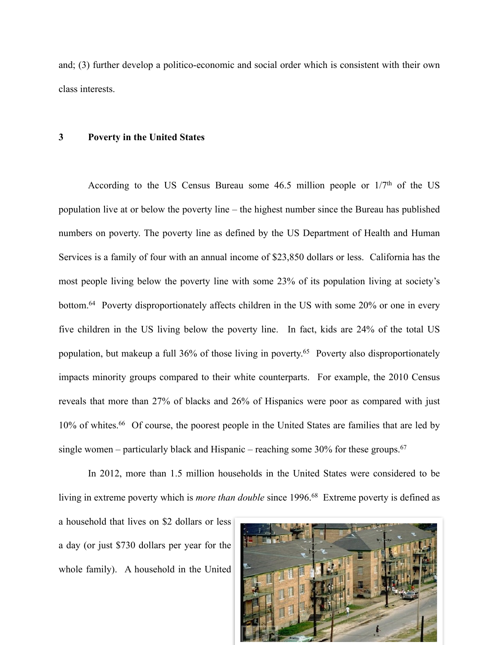and; (3) further develop a politico-economic and social order which is consistent with their own class interests.

#### **3 Poverty in the United States**

According to the US Census Bureau some  $46.5$  million people or  $1/7<sup>th</sup>$  of the US population live at or below the poverty line – the highest number since the Bureau has published numbers on poverty. The poverty line as defined by the US Department of Health and Human Services is a family of four with an annual income of \$23,850 dollars or less. California has the most people living below the poverty line with some 23% of its population living at society's bottom. <sup>64</sup> Poverty disproportionately affects children in the US with some  $20\%$  or one in every five children in the US living below the poverty line. In fact, kids are 24% of the total US population, but makeup a full 36% of those living in poverty.<sup>65</sup> Poverty also disproportionately impacts minority groups compared to their white counterparts. For example, the 2010 Census reveals that more than 27% of blacks and 26% of Hispanics were poor as compared with just 10% of whites.<sup>66</sup> Of course, the poorest people in the United States are families that are led by single women – particularly black and Hispanic – reaching some  $30\%$  for these groups.<sup>67</sup>

In 2012, more than 1.5 million households in the United States were considered to be living in extreme poverty which is *more than double* since 1996.<sup>68</sup> Extreme poverty is defined as a household that lives on \$2 dollars or less a day (or just \$730 dollars per year for the whole family). A household in the United

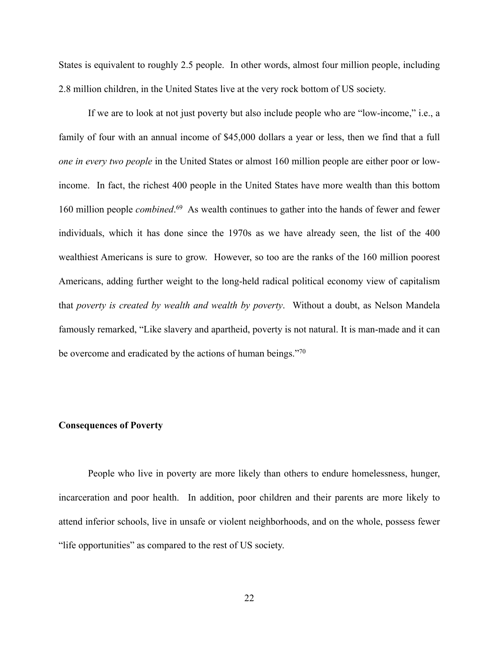States is equivalent to roughly 2.5 people. In other words, almost four million people, including 2.8 million children, in the United States live at the very rock bottom of US society.

If we are to look at not just poverty but also include people who are "low-income," i.e., a family of four with an annual income of \$45,000 dollars a year or less, then we find that a full *one in every two people* in the United States or almost 160 million people are either poor or lowincome. In fact, the richest 400 people in the United States have more wealth than this bottom 160 million people *combined*.<sup>69</sup> As wealth continues to gather into the hands of fewer and fewer individuals, which it has done since the 1970s as we have already seen, the list of the 400 wealthiest Americans is sure to grow. However, so too are the ranks of the 160 million poorest Americans, adding further weight to the long-held radical political economy view of capitalism that *poverty is created by wealth and wealth by poverty*. Without a doubt, as Nelson Mandela famously remarked, "Like slavery and apartheid, poverty is not natural. It is man-made and it can be overcome and eradicated by the actions of human beings."70

## **Consequences of Poverty**

People who live in poverty are more likely than others to endure homelessness, hunger, incarceration and poor health. In addition, poor children and their parents are more likely to attend inferior schools, live in unsafe or violent neighborhoods, and on the whole, possess fewer "life opportunities" as compared to the rest of US society.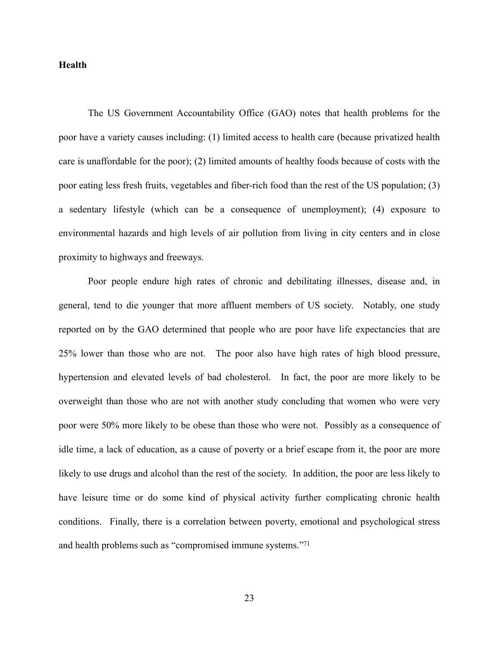#### **Health**

The US Government Accountability Office (GAO) notes that health problems for the poor have a variety causes including: (1) limited access to health care (because privatized health care is unaffordable for the poor); (2) limited amounts of healthy foods because of costs with the poor eating less fresh fruits, vegetables and fiber-rich food than the rest of the US population; (3) a sedentary lifestyle (which can be a consequence of unemployment); (4) exposure to environmental hazards and high levels of air pollution from living in city centers and in close proximity to highways and freeways.

Poor people endure high rates of chronic and debilitating illnesses, disease and, in general, tend to die younger that more affluent members of US society. Notably, one study reported on by the GAO determined that people who are poor have life expectancies that are 25% lower than those who are not. The poor also have high rates of high blood pressure, hypertension and elevated levels of bad cholesterol. In fact, the poor are more likely to be overweight than those who are not with another study concluding that women who were very poor were 50% more likely to be obese than those who were not. Possibly as a consequence of idle time, a lack of education, as a cause of poverty or a brief escape from it, the poor are more likely to use drugs and alcohol than the rest of the society. In addition, the poor are less likely to have leisure time or do some kind of physical activity further complicating chronic health conditions. Finally, there is a correlation between poverty, emotional and psychological stress and health problems such as "compromised immune systems."71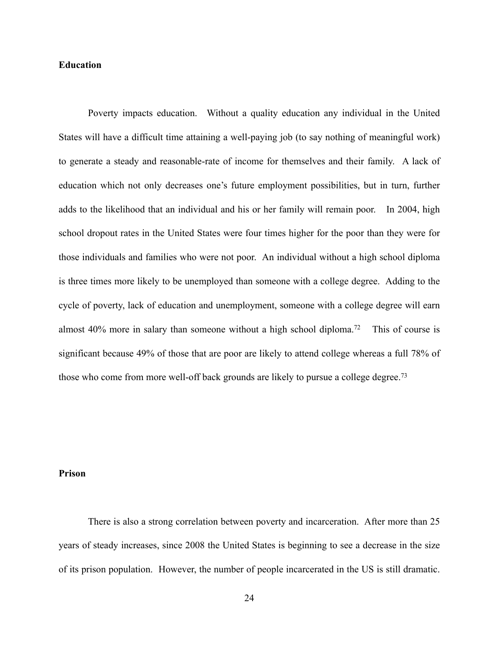# **Education**

 Poverty impacts education. Without a quality education any individual in the United States will have a difficult time attaining a well-paying job (to say nothing of meaningful work) to generate a steady and reasonable-rate of income for themselves and their family. A lack of education which not only decreases one's future employment possibilities, but in turn, further adds to the likelihood that an individual and his or her family will remain poor. In 2004, high school dropout rates in the United States were four times higher for the poor than they were for those individuals and families who were not poor. An individual without a high school diploma is three times more likely to be unemployed than someone with a college degree. Adding to the cycle of poverty, lack of education and unemployment, someone with a college degree will earn almost 40% more in salary than someone without a high school diploma.<sup>72</sup> This of course is significant because 49% of those that are poor are likely to attend college whereas a full 78% of those who come from more well-off back grounds are likely to pursue a college degree.<sup>73</sup>

### **Prison**

There is also a strong correlation between poverty and incarceration. After more than 25 years of steady increases, since 2008 the United States is beginning to see a decrease in the size of its prison population. However, the number of people incarcerated in the US is still dramatic.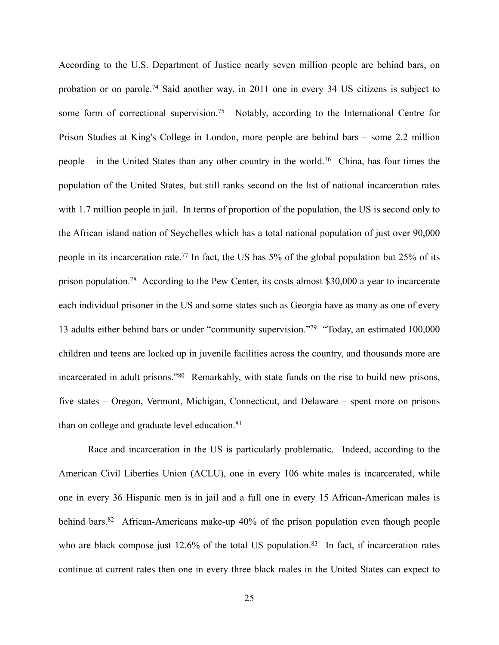According to the U.S. Department of Justice nearly seven million people are behind bars, on probation or on parole.<sup>74</sup> Said another way, in 2011 one in every 34 US citizens is subject to some form of correctional supervision.<sup>75</sup> Notably, according to the International Centre for Prison Studies at King's College in London, more people are behind bars – some 2.2 million people – in the United States than any other country in the world.<sup>76</sup> China, has four times the population of the United States, but still ranks second on the list of national incarceration rates with 1.7 million people in jail. In terms of proportion of the population, the US is second only to the African island nation of Seychelles which has a total national population of just over 90,000 people in its incarceration rate.<sup>77</sup> In fact, the US has 5% of the global population but 25% of its prison population.<sup>78</sup> According to the Pew Center, its costs almost \$30,000 a year to incarcerate each individual prisoner in the US and some states such as Georgia have as many as one of every 13 adults either behind bars or under "community supervision."<sup>79</sup> "Today, an estimated 100,000 children and teens are locked up in juvenile facilities across the country, and thousands more are incarcerated in adult prisons."<sup>80</sup> Remarkably, with state funds on the rise to build new prisons, five states – Oregon, Vermont, Michigan, Connecticut, and Delaware – spent more on prisons than on college and graduate level education.<sup>81</sup>

Race and incarceration in the US is particularly problematic. Indeed, according to the American Civil Liberties Union (ACLU), one in every 106 white males is incarcerated, while one in every 36 Hispanic men is in jail and a full one in every 15 African-American males is behind bars. <sup>82</sup> African-Americans make-up 40% of the prison population even though people who are black compose just  $12.6\%$  of the total US population.<sup>83</sup> In fact, if incarceration rates continue at current rates then one in every three black males in the United States can expect to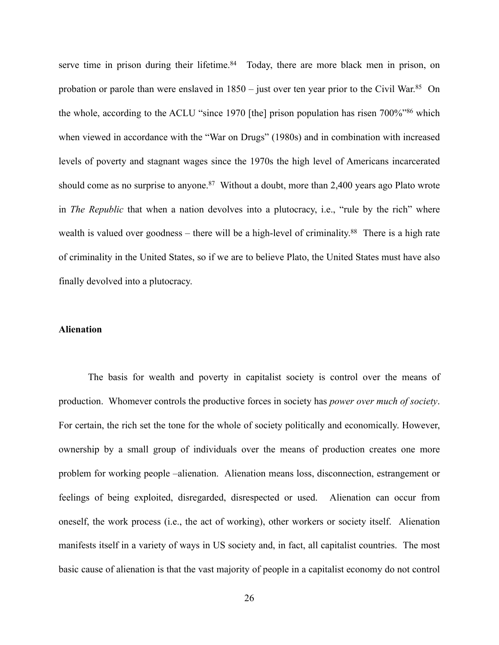serve time in prison during their lifetime. $84$  Today, there are more black men in prison, on probation or parole than were enslaved in  $1850 -$  just over ten year prior to the Civil War.<sup>85</sup> On the whole, according to the ACLU "since 1970 [the] prison population has risen  $700\%$ "<sup>86</sup> which when viewed in accordance with the "War on Drugs" (1980s) and in combination with increased levels of poverty and stagnant wages since the 1970s the high level of Americans incarcerated should come as no surprise to anyone.<sup>87</sup> Without a doubt, more than 2,400 years ago Plato wrote in *The Republic* that when a nation devolves into a plutocracy, i.e., "rule by the rich" where wealth is valued over goodness – there will be a high-level of criminality.<sup>88</sup> There is a high rate of criminality in the United States, so if we are to believe Plato, the United States must have also finally devolved into a plutocracy.

## **Alienation**

The basis for wealth and poverty in capitalist society is control over the means of production. Whomever controls the productive forces in society has *power over much of society*. For certain, the rich set the tone for the whole of society politically and economically. However, ownership by a small group of individuals over the means of production creates one more problem for working people –alienation. Alienation means loss, disconnection, estrangement or feelings of being exploited, disregarded, disrespected or used. Alienation can occur from oneself, the work process (i.e., the act of working), other workers or society itself. Alienation manifests itself in a variety of ways in US society and, in fact, all capitalist countries. The most basic cause of alienation is that the vast majority of people in a capitalist economy do not control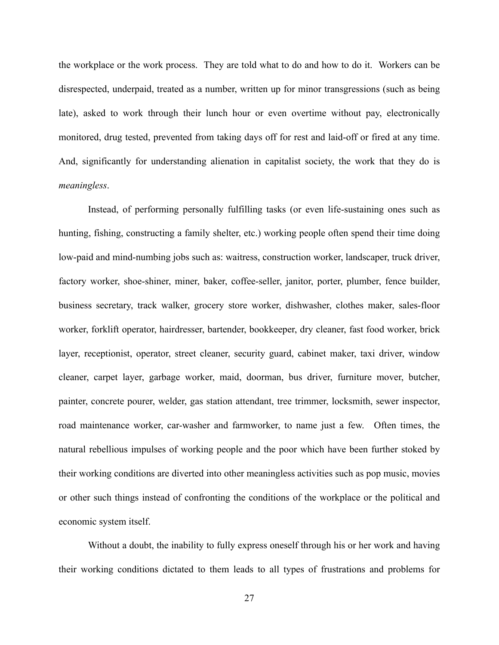the workplace or the work process. They are told what to do and how to do it. Workers can be disrespected, underpaid, treated as a number, written up for minor transgressions (such as being late), asked to work through their lunch hour or even overtime without pay, electronically monitored, drug tested, prevented from taking days off for rest and laid-off or fired at any time. And, significantly for understanding alienation in capitalist society, the work that they do is *meaningless*.

Instead, of performing personally fulfilling tasks (or even life-sustaining ones such as hunting, fishing, constructing a family shelter, etc.) working people often spend their time doing low-paid and mind-numbing jobs such as: waitress, construction worker, landscaper, truck driver, factory worker, shoe-shiner, miner, baker, coffee-seller, janitor, porter, plumber, fence builder, business secretary, track walker, grocery store worker, dishwasher, clothes maker, sales-floor worker, forklift operator, hairdresser, bartender, bookkeeper, dry cleaner, fast food worker, brick layer, receptionist, operator, street cleaner, security guard, cabinet maker, taxi driver, window cleaner, carpet layer, garbage worker, maid, doorman, bus driver, furniture mover, butcher, painter, concrete pourer, welder, gas station attendant, tree trimmer, locksmith, sewer inspector, road maintenance worker, car-washer and farmworker, to name just a few. Often times, the natural rebellious impulses of working people and the poor which have been further stoked by their working conditions are diverted into other meaningless activities such as pop music, movies or other such things instead of confronting the conditions of the workplace or the political and economic system itself.

Without a doubt, the inability to fully express oneself through his or her work and having their working conditions dictated to them leads to all types of frustrations and problems for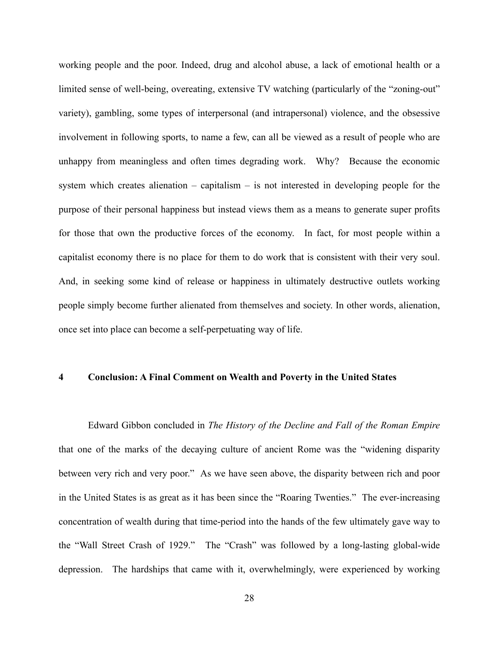working people and the poor. Indeed, drug and alcohol abuse, a lack of emotional health or a limited sense of well-being, overeating, extensive TV watching (particularly of the "zoning-out" variety), gambling, some types of interpersonal (and intrapersonal) violence, and the obsessive involvement in following sports, to name a few, can all be viewed as a result of people who are unhappy from meaningless and often times degrading work. Why? Because the economic system which creates alienation – capitalism – is not interested in developing people for the purpose of their personal happiness but instead views them as a means to generate super profits for those that own the productive forces of the economy. In fact, for most people within a capitalist economy there is no place for them to do work that is consistent with their very soul. And, in seeking some kind of release or happiness in ultimately destructive outlets working people simply become further alienated from themselves and society. In other words, alienation, once set into place can become a self-perpetuating way of life.

# **4 Conclusion: A Final Comment on Wealth and Poverty in the United States**

Edward Gibbon concluded in *The History of the Decline and Fall of the Roman Empire*  that one of the marks of the decaying culture of ancient Rome was the "widening disparity between very rich and very poor." As we have seen above, the disparity between rich and poor in the United States is as great as it has been since the "Roaring Twenties." The ever-increasing concentration of wealth during that time-period into the hands of the few ultimately gave way to the "Wall Street Crash of 1929." The "Crash" was followed by a long-lasting global-wide depression. The hardships that came with it, overwhelmingly, were experienced by working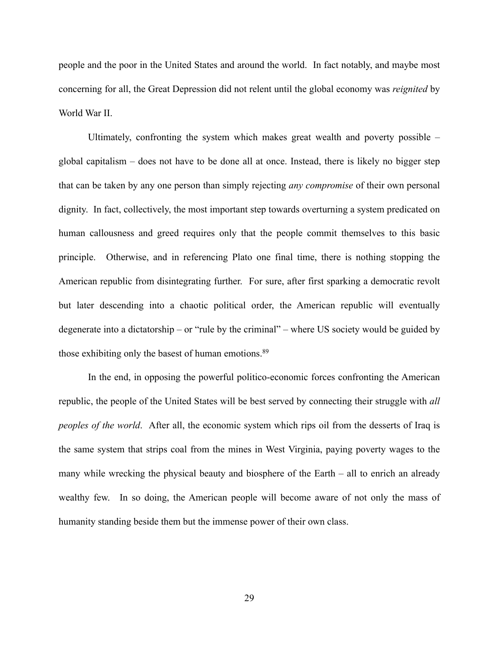people and the poor in the United States and around the world. In fact notably, and maybe most concerning for all, the Great Depression did not relent until the global economy was *reignited* by World War II.

Ultimately, confronting the system which makes great wealth and poverty possible – global capitalism – does not have to be done all at once. Instead, there is likely no bigger step that can be taken by any one person than simply rejecting *any compromise* of their own personal dignity. In fact, collectively, the most important step towards overturning a system predicated on human callousness and greed requires only that the people commit themselves to this basic principle. Otherwise, and in referencing Plato one final time, there is nothing stopping the American republic from disintegrating further. For sure, after first sparking a democratic revolt but later descending into a chaotic political order, the American republic will eventually degenerate into a dictatorship – or "rule by the criminal" – where US society would be guided by those exhibiting only the basest of human emotions. 89

In the end, in opposing the powerful politico-economic forces confronting the American republic, the people of the United States will be best served by connecting their struggle with *all peoples of the world*. After all, the economic system which rips oil from the desserts of Iraq is the same system that strips coal from the mines in West Virginia, paying poverty wages to the many while wrecking the physical beauty and biosphere of the Earth – all to enrich an already wealthy few. In so doing, the American people will become aware of not only the mass of humanity standing beside them but the immense power of their own class.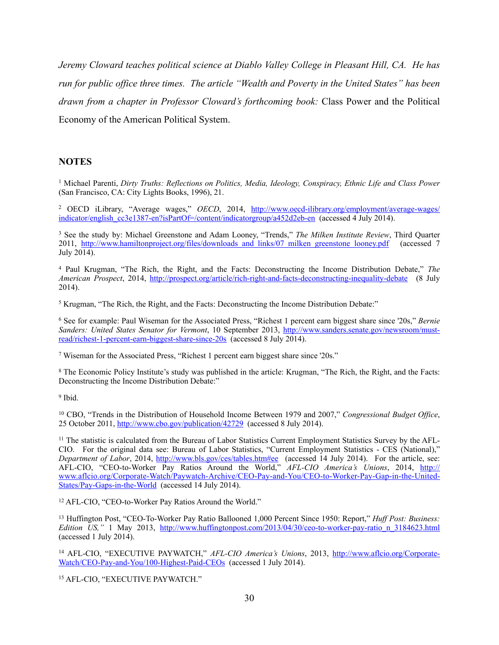*Jeremy Cloward teaches political science at Diablo Valley College in Pleasant Hill, CA. He has run for public office three times. The article "Wealth and Poverty in the United States" has been drawn from a chapter in Professor Cloward's forthcoming book:* Class Power and the Political Economy of the American Political System.

#### **NOTES**

 Michael Parenti, *Dirty Truths: Reflections on Politics, Media, Ideology, Conspiracy, Ethnic Life and Class Power* <sup>1</sup> (San Francisco, CA: City Lights Books, 1996), 21.

<sup>2</sup> OECD iLibrary, "Average wages," *OECD*, 2014, http://www.oecd-ilibrary.org/employment/average-wages/ indicator/english\_cc3e1387-en?isPartOf=/content/indicatorgroup/a452d2eb-en (accessed 4 July 2014).

<sup>3</sup> See the study by: Michael Greenstone and Adam Looney, "Trends," *The Milken Institute Review*, Third Quarter 2011, [http://www.hamiltonproject.org/files/downloads\\_and\\_links/07\\_milken\\_greenstone\\_looney.pdf](http://www.hamiltonproject.org/files/downloads_and_links/07_milken_greenstone_looney.pdf) (accessed 7 July 2014).

 Paul Krugman, "The Rich, the Right, and the Facts: Deconstructing the Income Distribution Debate," *The* <sup>4</sup> *American Prospect*, 2014, <http://prospect.org/article/rich-right-and-facts-deconstructing-inequality-debate> (8 July 2014).

<sup>5</sup> Krugman, "The Rich, the Right, and the Facts: Deconstructing the Income Distribution Debate:"

 See for example: Paul Wiseman for the Associated Press, "Richest 1 percent earn biggest share since '20s," *Bernie* <sup>6</sup> *Sanders: United States Senator for Vermont*, 10 September 2013, http://www.sanders.senate.gov/newsroom/must[read/richest-1-percent-earn-biggest-share-since-20s \(accessed 8 July 2014\).](http://www.sanders.senate.gov/newsroom/must-read/richest-1-percent-earn-biggest-share-since-20s) 

Wiseman for the Associated Press, "Richest 1 percent earn biggest share since '20s." 7

<sup>8</sup> The Economic Policy Institute's study was published in the article: Krugman, "The Rich, the Right, and the Facts: Deconstructing the Income Distribution Debate:"

<sup>9</sup> Ibid.

<sup>10</sup> CBO, "Trends in the Distribution of Household Income Between 1979 and 2007," *Congressional Budget Office*, 25 October 2011, <http://www.cbo.gov/publication/42729>(accessed 8 July 2014).

<sup>11</sup> The statistic is calculated from the Bureau of Labor Statistics Current Employment Statistics Survey by the AFL-CIO. For the original data see: Bureau of Labor Statistics, "Current Employment Statistics - CES (National)," *Department of Labor*, 2014, <http://www.bls.gov/ces/tables.htm#ee>(accessed 14 July 2014). For the article, see: AFL-CIO, "CEO-to-Worker Pay Ratios Around the World," *AFL-CIO America's Unions*, 2014, http:// [www.aflcio.org/Corporate-Watch/Paywatch-Archive/CEO-Pay-and-You/CEO-to-Worker-Pay-Gap-in-the-United-](http://www.aflcio.org/Corporate-Watch/Paywatch-Archive/CEO-Pay-and-You/CEO-to-Worker-Pay-Gap-in-the-United-States/Pay-Gaps-in-the-World)States/Pay-Gaps-in-the-World (accessed 14 July 2014).

<sup>12</sup> AFL-CIO, "CEO-to-Worker Pay Ratios Around the World."

<sup>13</sup> Huffington Post, "CEO-To-Worker Pay Ratio Ballooned 1,000 Percent Since 1950: Report," *Huff Post: Business: Edition US,"* 1 May 2013, [http://www.huffingtonpost.com/2013/04/30/ceo-to-worker-pay-ratio\\_n\\_3184623.html](http://www.huffingtonpost.com/2013/04/30/ceo-to-worker-pay-ratio_n_3184623.html) (accessed 1 July 2014).

<sup>14</sup> AFL-CIO, "EXECUTIVE PAYWATCH," *AFL-CIO America's Unions*, 2013, http://www.aflcio.org/Corporate-[Watch/CEO-Pay-and-You/100-Highest-Paid-CEOs \(accessed 1 July 2014\).](http://www.aflcio.org/Corporate-Watch/CEO-Pay-and-You/100-Highest-Paid-CEOs) 

<sup>15</sup> AFL-CIO, "EXECUTIVE PAYWATCH."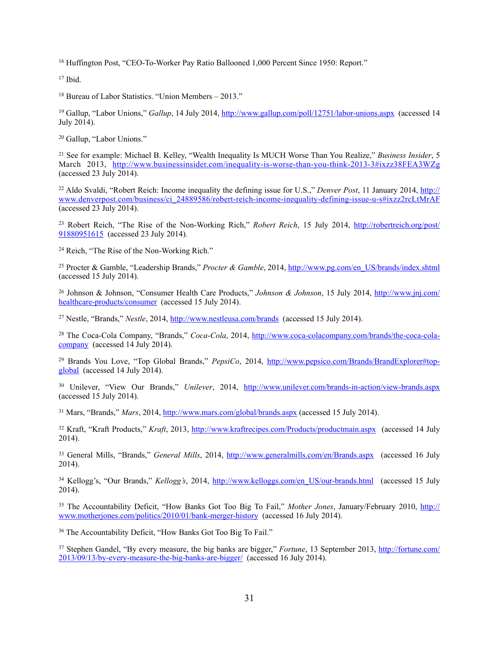<sup>16</sup> Huffington Post, "CEO-To-Worker Pay Ratio Ballooned 1,000 Percent Since 1950: Report."

 $17$  Ibid.

 $18$  Bureau of Labor Statistics. "Union Members – 2013."

<sup>19</sup> Gallup, "Labor Unions," *Gallup*, 14 July 2014, <http://www.gallup.com/poll/12751/labor-unions.aspx> (accessed 14 July 2014).

<sup>20</sup> Gallup, "Labor Unions."

<sup>21</sup> See for example: Michael B. Kelley, "Wealth Inequality Is MUCH Worse Than You Realize," *Business Insider*, 5 March 2013, <http://www.businessinsider.com/inequality-is-worse-than-you-think-2013-3#ixzz38FEA3WZg> (accessed 23 July 2014).

<sup>22</sup> Aldo Svaldi, "Robert Reich: Income inequality the defining issue for U.S.," *Denver Post*, 11 January 2014, *http://* [www.denverpost.com/business/ci\\_24889586/robert-reich-income-inequality-defining-issue-u-s#ixzz2rcLtMrAF](http://www.denverpost.com/business/ci_24889586/robert-reich-income-inequality-defining-issue-u-s#ixzz2rcLtMrAF) (accessed 23 July 2014).

<sup>23</sup> [Robert Reich, "The Rise of the Non-Working Rich,"](http://robertreich.org/post/91880951615) *Robert Reich*, 15 July 2014, http://robertreich.org/post/ 91880951615 (accessed 23 July 2014).

<sup>24</sup> Reich, "The Rise of the Non-Working Rich."

<sup>25</sup> Procter & Gamble, "Leadership Brands," *Procter & Gamble*, 2014, [http://www.pg.com/en\\_US/brands/index.shtml](http://www.pg.com/en_US/brands/index.shtml) (accessed 15 July 2014).

 [Johnson & Johnson, "Consumer Health Care Products,"](http://www.jnj.com/healthcare-products/consumer) *Johnson & Johnson*, 15 July 2014, http://www.jnj.com/ <sup>26</sup> healthcar[e-products/consumer](http://www.jnj.com/healthcare-products/consumer) (accessed 15 July 2014).

<sup>27</sup> Nestle, "Brands," *Nestle*, 2014, <http://www.nestleusa.com/brands> (accessed 15 July 2014).

<sup>28</sup> The Coca-Cola Company, "Brands," *Coca-Cola*[, 2014, http://www.coca-colacompany.com/brands/the-coca-cola](http://www.coca-colacompany.com/brands/the-coca-cola-company) company (accessed 14 July 2014).

<sup>29</sup> Brands You Love, "Top Global Brands," *PepsiCo*[, 2014, http://www.pepsico.com/Brands/BrandExplorer#top](http://www.pepsico.com/Brands/BrandExplorer#top-global) global (accessed 14 July 2014).

 Unilever, "View Our Brands," *Unilever*, 2014, <http://www.unilever.com/brands-in-action/view-brands.aspx> <sup>30</sup> (accessed 15 July 2014).

<sup>31</sup> Mars, "Brands," *Mars*, 2014,<http://www.mars.com/global/brands.aspx>(accessed 15 July 2014).

<sup>32</sup> Kraft, "Kraft Products," *Kraft*, 2013, <http://www.kraftrecipes.com/Products/productmain.aspx> (accessed 14 July 2014).

<sup>33</sup> General Mills, "Brands," *General Mills*, 2014, <http://www.generalmills.com/en/Brands.aspx>(accessed 16 July 2014).

<sup>34</sup> Kellogg's, "Our Brands," *Kellogg's*, 2014, [http://www.kelloggs.com/en\\_US/our-brands.html](http://www.kelloggs.com/en_US/our-brands.html) (accessed 15 July 2014).

<sup>35</sup> The Accountability Deficit, "How Banks Got Too Big To Fail," *Mother Jones*, January/February 2010, http:// www.motherjones.com/politics/2010/01/bank-merger-history (accessed 16 July 2014).

<sup>36</sup> The Accountability Deficit, "How Banks Got Too Big To Fail."

<sup>37</sup> Stephen Gandel, "By every measure, the big banks are bigger," *Fortune*, 13 September 2013, http://fortune.com/ [2013/09/13/by-every-measure-the-big-banks-are-bigger/ \(accessed 16 July 2014\).](http://fortune.com/2013/09/13/by-every-measure-the-big-banks-are-bigger/)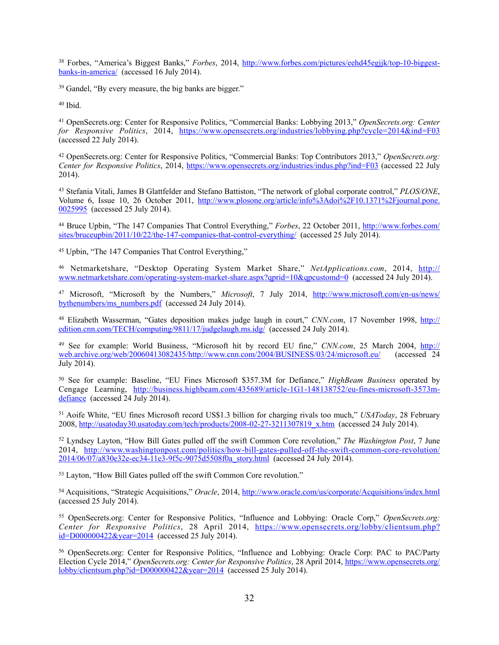Forbes, "America's Biggest Banks," *Forbes*[, 2014, http://www.forbes.com/pictures/eehd45egjjk/top-10-biggest-](http://www.forbes.com/pictures/eehd45egjjk/top-10-biggest-banks-in-america/) <sup>38</sup> banks-in-america/ (accessed 16 July 2014).

<sup>39</sup> Gandel, "By every measure, the big banks are bigger."

 $40$  Ibid.

 OpenSecrets.org: Center for Responsive Politics, "Commercial Banks: Lobbying 2013," *OpenSecrets.org: Center* <sup>41</sup> *for Responsive Politics*, 2014, <https://www.opensecrets.org/industries/lobbying.php?cycle=2014&ind=F03> (accessed 22 July 2014).

 OpenSecrets.org: Center for Responsive Politics, "Commercial Banks: Top Contributors 2013," *OpenSecrets.org:* <sup>42</sup> *Center for Responsive Politics*, 2014, <https://www.opensecrets.org/industries/indus.php?ind=F03>(accessed 22 July 2014).

 Stefania Vitali, James B Glattfelder and Stefano Battiston, "The network of global corporate control," *PLOS/ONE*, 43 [Volume 6, Issue 10, 26 October 2011, http://www.plosone.org/article/info%3Adoi%2F10.1371%2Fjournal.pone.](http://www.plosone.org/article/info%253Adoi%252F10.1371%252Fjournal.pone.0025995) 0025995 (accessed 25 July 2014).

<sup>44</sup> Bruce Upbin, "The 147 Companies That Control Everything," *Forbes*, 22 October 2011, http://www.forbes.com/ [sites/bruceupbin/2011/10/22/the-147-companies-that-control-everything/ \(accessed 25 July 2014\).](http://www.forbes.com/sites/bruceupbin/2011/10/22/the-147-companies-that-control-everything/) 

<sup>45</sup> Upbin, "The 147 Companies That Control Everything,"

 Netmarketshare, "Desktop Operating System Market Share," *NetApplications.com*, 2014, http:// <sup>46</sup> [www.netmarketshare.com/operating-system-market-share.aspx?qprid=10&qpcustomd=0 \(accessed 24 July 2014\).](http://www.netmarketshare.com/operating-system-market-share.aspx?qprid=10&qpcustomd=0) 

 Microsoft, "Microsoft by the Numbers," *Microsoft*, 7 July 2014, [http://www.microsoft.com/en-us/news](http://www.microsoft.com/en-us/news/bythenumbers/ms_numbers.pdf)/ <sup>47</sup> [bythenumbers/ms\\_numbers.pdf \(accessed 24 July 2014\).](http://www.microsoft.com/en-us/news/bythenumbers/ms_numbers.pdf) 

 Elizabeth Wasserman, "Gates deposition makes judge laugh in court," *CNN.com*, 17 November 1998, http:// <sup>48</sup> edition.cnn.com/TECH/computing/9811/17/judgelaugh.ms.idg/ (accessed 24 July 2014).

 See for example: World Business, "Microsoft hit by record EU fine," *CNN.com*, 25 March 2004, http:// <sup>49</sup> web.archive.org/web/20060413082435/http://www.cnn.com/2004/BUSINESS/03/24/microsoft.eu/ (accessed 24 July 2014).

 See for example: Baseline, "EU Fines Microsoft \$357.3M for Defiance," *HighBeam Business* operated by 50 [Cengage Learning, http://business.highbeam.com/435689/article-1G1-148138752/eu-fines-microsoft-3573m](http://business.highbeam.com/435689/article-1G1-148138752/eu-fines-microsoft-3573m-defiance)defiance (accessed 24 July 2014).

<sup>51</sup> Aoife White, "EU fines Microsoft record US\$1.3 billion for charging rivals too much," *USAToday*, 28 February 2008, [http://usatoday30.usatoday.com/tech/products/2008-02-27-3211307819\\_x.htm](http://usatoday30.usatoday.com/tech/products/2008-02-27-3211307819_x.htm) (accessed 24 July 2014).

<sup>52</sup> Lyndsey Layton, "How Bill Gates pulled off the swift Common Core revolution," *The Washington Post*, 7 June [2014, http://www.washingtonpost.com/politics/how-bill-gates-pulled-off-the-swift-common-core-revolution/](http://www.washingtonpost.com/politics/how-bill-gates-pulled-off-the-swift-common-core-revolution/2014/06/07/a830e32e-ec34-11e3-9f5c-9075d5508f0a_story.html) 2014/06/07/a830e32e-ec34-11e3-9f5c-9075d5508f0a\_story.html (accessed 24 July 2014).

Layton, "How Bill Gates pulled off the swift Common Core revolution." <sup>53</sup>

<sup>54</sup> Acquisitions, "Strategic Acquisitions," *Oracle*, 2014, <http://www.oracle.com/us/corporate/Acquisitions/index.html> (accessed 25 July 2014).

 OpenSecrets.org: Center for Responsive Politics, "Influence and Lobbying: Oracle Corp," *OpenSecrets.org:* <sup>55</sup> *Center for Responsive Politics*[, 28 April 2014, https://www.opensecrets.org/lobby/clientsum.php?](https://www.opensecrets.org/lobby/clientsum.php?id=D000000422&year=2014) id=D000000422&year=2014 (accessed 25 July 2014).

<sup>56</sup> OpenSecrets.org: Center for Responsive Politics, "Influence and Lobbying: Oracle Corp: PAC to PAC/Party Election Cycle 2014," *OpenSecrets.org: Center for Responsive Politics*, 28 April 2014, https://www.opensecrets.org/ lobby/clientsum.php?id= $D000000422\&\text{year}=2014$  (accessed 25 July 2014).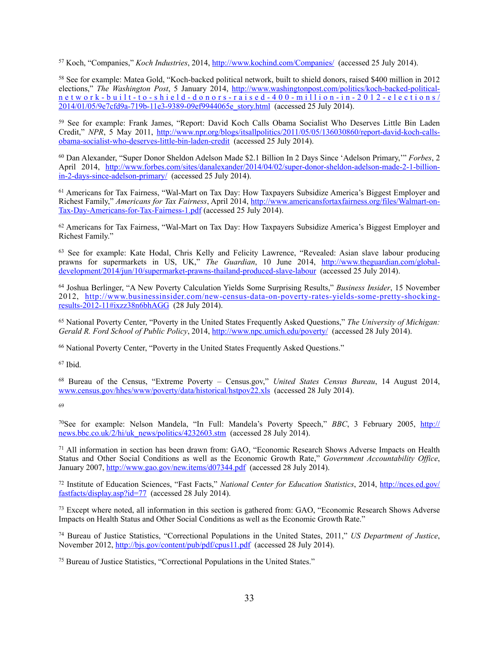<sup>57</sup> Koch, "Companies," *Koch Industries*, 2014,<http://www.kochind.com/Companies/> (accessed 25 July 2014).

<sup>58</sup> See for example: Matea Gold, "Koch-backed political network, built to shield donors, raised \$400 million in 2012 elections," *The Washington Post*, 5 January 2014, http://www.washingtonpost.com/politics/koch-backed-political[network-built-to-shield-donors-raised-400-million-in-2012-elections/](http://www.washingtonpost.com/politics/koch-backed-political-network-built-to-shield-donors-raised-400-million-in-2012-elections/2014/01/05/9e7cfd9a-719b-11e3-9389-09ef9944065e_story.html) 2014/01/05/9e7cfd9a-719b-11e3-9389-09ef9944065e\_story.html (accessed 25 July 2014).

<sup>59</sup> See for example: Frank James, "Report: David Koch Calls Obama Socialist Who Deserves Little Bin Laden Credit," *NPR*[, 5 May 2011, http://www.npr.org/blogs/itsallpolitics/2011/05/05/136030860/report-david-koch-calls](http://www.npr.org/blogs/itsallpolitics/2011/05/05/136030860/report-david-koch-calls-obama-socialist-who-deserves-little-bin-laden-credit)obama-socialist[-who-deserves-little-bin-laden-credit](http://www.npr.org/blogs/itsallpolitics/2011/05/05/136030860/report-david-koch-calls-obama-socialist-who-deserves-little-bin-laden-credit) (accessed 25 July 2014).

<sup>60</sup> Dan Alexander, "Super Donor Sheldon Adelson Made \$2.1 Billion In 2 Days Since 'Adelson Primary," *Forbes*, 2 [April 2014, http://www.forbes.com/sites/danalexander/2014/04/02/super-donor-sheldon-adelson-made-2-1-billion](http://www.forbes.com/sites/danalexander/2014/04/02/super-donor-sheldon-adelson-made-2-1-billion-in-2-days-since-adelson-primary/)in-2-days-since-adelson-primary/ (accessed 25 July 2014).

<sup>61</sup> Americans for Tax Fairness, "Wal-Mart on Tax Day: How Taxpayers Subsidize America's Biggest Employer and Richest Family," *Americans for Tax Fairness*[, April 2014, http://www.americansfortaxfairness.org/files/Walmart-on-](http://www.americansfortaxfairness.org/files/Walmart-on-Tax-Day-Americans-for-Tax-Fairness-1.pdf)Tax-Day-Americans-for-Tax-Fairness-1.pdf (accessed 25 July 2014).

 $62$  Americans for Tax Fairness, "Wal-Mart on Tax Day: How Taxpayers Subsidize America's Biggest Employer and Richest Family."

<sup>63</sup> See for example: Kate Hodal, Chris Kelly and Felicity Lawrence, "Revealed: Asian slave labour producing prawns for supermarkets in US, UK," *The Guardian*, 10 June 2014, http://www.theguardian.com/globaldevelopment/2014/jun/10/supermarket-prawns-thailand-produced-slave-labour (accessed 25 July 2014).

<sup>64</sup> Joshua Berlinger, "A New Poverty Calculation Yields Some Surprising Results," *Business Insider*, 15 November [2012, http://www.businessinsider.com/new-census-data-on-poverty-rates-yields-some-pretty-shocking](http://www.businessinsider.com/new-census-data-on-poverty-rates-yields-some-pretty-shocking-results-2012-11#ixzz38n6bhAGG)results-2012-11#ixzz38n6bhAGG (28 July 2014).

 National Poverty Center, "Poverty in the United States Frequently Asked Questions," *The University of Michigan:* <sup>65</sup> *Gerald R. Ford School of Public Policy*, 2014,<http://www.npc.umich.edu/poverty/>(accessed 28 July 2014).

<sup>66</sup> National Poverty Center, "Poverty in the United States Frequently Asked Questions."

 $67$  Ibid.

<sup>68</sup> Bureau of the Census, "Extreme Poverty – Census.gov," *United States Census Bureau*, 14 August 2014, [www.census.gov/hhes/www/poverty/data/historical/hstpov22.xls](http://www.census.gov/hhes/www/poverty/data/historical/hstpov22.xls) (accessed 28 July 2014).

69

<sup>70</sup>[See for example: Nelson Mandela, "In Full: Mandela's Poverty Speech,"](http://news.bbc.co.uk/2/hi/uk_news/politics/4232603.stm) *BBC*, 3 February 2005, http:// news[.bbc.co.uk/2/hi/uk\\_news/politics/4232603.stm](http://news.bbc.co.uk/2/hi/uk_news/politics/4232603.stm) (accessed 28 July 2014).

 $71$  All information in section has been drawn from: GAO, "Economic Research Shows Adverse Impacts on Health Status and Other Social Conditions as well as the Economic Growth Rate," *Government Accountability Office*, January 2007, <http://www.gao.gov/new.items/d07344.pdf>(accessed 28 July 2014).

 Institute of Education Sciences, "Fast Facts," *National Center for Education Statistics*, 2014, http://nces.ed.gov/ <sup>72</sup> [fastfacts/display.asp?id=77 \(accessed 28 July 2014\).](http://nces.ed.gov/fastfacts/display.asp?id=77) 

<sup>73</sup> Except where noted, all information in this section is gathered from: GAO, "Economic Research Shows Adverse Impacts on Health Status and Other Social Conditions as well as the Economic Growth Rate."

<sup>74</sup> Bureau of Justice Statistics, "Correctional Populations in the United States, 2011," *US Department of Justice*, November 2012, <http://bjs.gov/content/pub/pdf/cpus11.pdf> (accessed 28 July 2014).

<sup>75</sup> Bureau of Justice Statistics, "Correctional Populations in the United States."